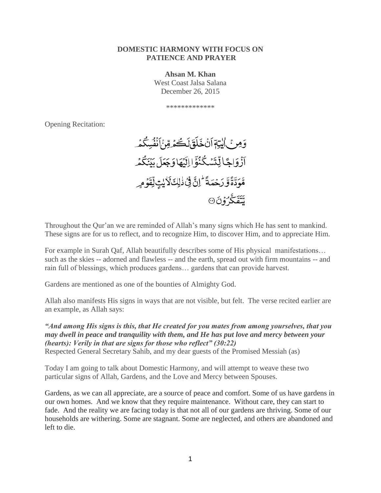#### **DOMESTIC HARMONY WITH FOCUS ON PATIENCE AND PRAYER**

**Ahsan M. Khan**

West Coast Jalsa Salana December 26, 2015

\*\*\*\*\*\*\*\*\*\*\*\*\*

Opening Recitation:



Throughout the Qur'an we are reminded of Allah's many signs which He has sent to mankind. These signs are for us to reflect, and to recognize Him, to discover Him, and to appreciate Him.

For example in Surah Qaf, Allah beautifully describes some of His physical manifestations… such as the skies -- adorned and flawless -- and the earth, spread out with firm mountains -- and rain full of blessings, which produces gardens… gardens that can provide harvest.

Gardens are mentioned as one of the bounties of Almighty God.

Allah also manifests His signs in ways that are not visible, but felt. The verse recited earlier are an example, as Allah says:

*"And among His signs is this, that He created for you mates from among yourselves, that you may dwell in peace and tranquility with them, and He has put love and mercy between your (hearts): Verily in that are signs for those who reflect" (30:22)* Respected General Secretary Sahib, and my dear guests of the Promised Messiah (as)

Today I am going to talk about Domestic Harmony, and will attempt to weave these two particular signs of Allah, Gardens, and the Love and Mercy between Spouses.

Gardens, as we can all appreciate, are a source of peace and comfort. Some of us have gardens in our own homes. And we know that they require maintenance. Without care, they can start to fade. And the reality we are facing today is that not all of our gardens are thriving. Some of our households are withering. Some are stagnant. Some are neglected, and others are abandoned and left to die.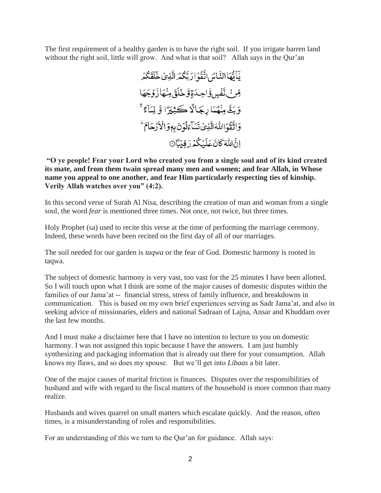The first requirement of a healthy garden is to have the right soil. If you irrigate barren land without the right soil, little will grow. And what is that soil? Allah says in the Qur'an

يْأَنَّهَاالنَّامُ اتَّقُوۡۤارَ بَّكُمۡ الَّذِيۡ خَلَقَٰكُمۡرِ قِرْ بِٱتَّفْسِ وَّاحِدَةٍوَّ خَلَقَ مِنْهَازَوُجَهَا وَبَثَّ مِنْهَمَا رِجَالًا كَثِيْرًا وَّ نِسَاءً ۚ وَاتَّقُوااللَّهَ الَّذِيُ تَسَاءَلُونَ بِهٖوَالْاَرُحَامَ ٳڹٞٳڵڷڶڷڡؘػڶڮڷػؙۮڔؘڡۣڹؙٵؚ

**"O ye people! Fear your Lord who created you from a single soul and of its kind created its mate, and from them twain spread many men and women; and fear Allah, in Whose name you appeal to one another, and fear Him particularly respecting ties of kinship. Verily Allah watches over you" (4:2).**

In this second verse of Surah Al Nisa, describing the creation of man and woman from a single soul, the word *fear* is mentioned three times. Not once, not twice, but three times.

Holy Prophet (sa) used to recite this verse at the time of performing the marriage ceremony. Indeed, these words have been recited on the first day of all of our marriages.

The soil needed for our garden is *taqwa* or the fear of God. Domestic harmony is rooted in taqwa.

The subject of domestic harmony is very vast, too vast for the 25 minutes I have been allotted. So I will touch upon what I think are some of the major causes of domestic disputes within the families of our Jama'at -- financial stress, stress of family influence, and breakdowns in communication. This is based on my own brief experiences serving as Sadr Jama'at, and also in seeking advice of missionaries, elders and national Sadraan of Lajna, Ansar and Khuddam over the last few months.

And I must make a disclaimer here that I have no intention to lecture to you on domestic harmony. I was not assigned this topic because I have the answers. I am just humbly synthesizing and packaging information that is already out there for your consumption. Allah knows my flaws, and so does my spouse. But we'll get into *Libaas* a bit later.

One of the major causes of marital friction is finances. Disputes over the responsibilities of husband and wife with regard to the fiscal matters of the household is more common than many realize.

Husbands and wives quarrel on small matters which escalate quickly. And the reason, often times, is a misunderstanding of roles and responsibilities.

For an understanding of this we turn to the Qur'an for guidance. Allah says: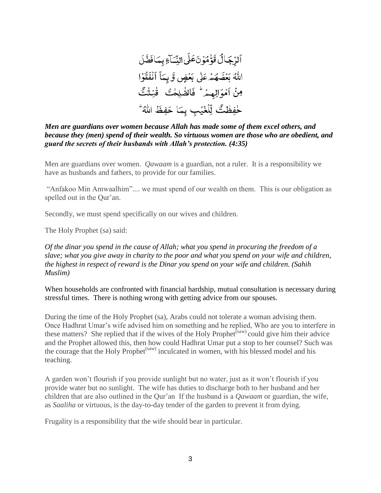### *Men are guardians over women because Allah has made some of them excel others, and because they (men) spend of their wealth. So virtuous women are those who are obedient, and guard the secrets of their husbands with Allah's protection. (4:35)*

Men are guardians over women. *Qawaam* is a guardian, not a ruler. It is a responsibility we have as husbands and fathers, to provide for our families.

"Anfakoo Min Amwaalhim".... we must spend of our wealth on them. This is our obligation as spelled out in the Qur'an.

Secondly, we must spend specifically on our wives and children.

The Holy Prophet (sa) said:

*Of the dinar you spend in the cause of Allah; what you spend in procuring the freedom of a slave; what you give away in charity to the poor and what you spend on your wife and children, the highest in respect of reward is the Dinar you spend on your wife and children. (Sahih Muslim)* 

When households are confronted with financial hardship, mutual consultation is necessary during stressful times. There is nothing wrong with getting advice from our spouses.

During the time of the Holy Prophet (sa), Arabs could not tolerate a woman advising them. Once Hadhrat Umar's wife advised him on something and he replied, Who are you to interfere in these matters? She replied that if the wives of the Holy Prophet<sup> $(saw)$ </sup> could give him their advice and the Prophet allowed this, then how could Hadhrat Umar put a stop to her counsel? Such was the courage that the Holy Prophet<sup>(saw)</sup> inculcated in women, with his blessed model and his teaching.

A garden won't flourish if you provide sunlight but no water, just as it won't flourish if you provide water but no sunlight. The wife has duties to discharge both to her husband and her children that are also outlined in the Qur'an If the husband is a *Qawaam* or guardian, the wife, as *Saaliha* or virtuous, is the day-to-day tender of the garden to prevent it from dying.

Frugality is a responsibility that the wife should bear in particular.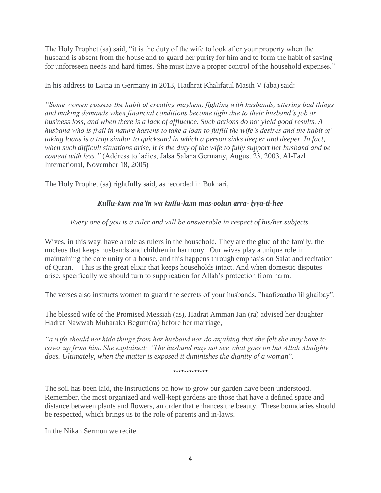The Holy Prophet (sa) said, "it is the duty of the wife to look after your property when the husband is absent from the house and to guard her purity for him and to form the habit of saving for unforeseen needs and hard times. She must have a proper control of the household expenses."

In his address to Lajna in Germany in 2013, Hadhrat Khalifatul Masih V (aba) said:

*"Some women possess the habit of creating mayhem, fighting with husbands, uttering bad things and making demands when financial conditions become tight due to their husband's job or business loss, and when there is a lack of affluence. Such actions do not yield good results. A husband who is frail in nature hastens to take a loan to fulfill the wife's desires and the habit of taking loans is a trap similar to quicksand in which a person sinks deeper and deeper. In fact, when such difficult situations arise, it is the duty of the wife to fully support her husband and be content with less."* (Address to ladies, Jalsa Sālāna Germany, August 23, 2003, Al-Fazl International, November 18, 2005)

The Holy Prophet (sa) rightfully said, as recorded in Bukhari,

# *Kullu-kum raa'in wa kullu-kum mas-oolun arra- iyya-ti-hee*

*Every one of you is a ruler and will be answerable in respect of his/her subjects.* 

Wives, in this way, have a role as rulers in the household. They are the glue of the family, the nucleus that keeps husbands and children in harmony. Our wives play a unique role in maintaining the core unity of a house, and this happens through emphasis on Salat and recitation of Quran. This is the great elixir that keeps households intact. And when domestic disputes arise, specifically we should turn to supplication for Allah's protection from harm.

The verses also instructs women to guard the secrets of your husbands, "haafizaatho lil ghaibay".

The blessed wife of the Promised Messiah (as), Hadrat Amman Jan (ra) advised her daughter Hadrat Nawwab Mubaraka Begum(ra) before her marriage,

*"a wife should not hide things from her husband nor do anything that she felt she may have to cover up from him. She explained; "The husband may not see what goes on but Allah Almighty does. Ultimately, when the matter is exposed it diminishes the dignity of a woman*".

\*\*\*\*\*\*\*\*\*\*\*\*\*

The soil has been laid, the instructions on how to grow our garden have been understood. Remember, the most organized and well-kept gardens are those that have a defined space and distance between plants and flowers, an order that enhances the beauty. These boundaries should be respected, which brings us to the role of parents and in-laws.

In the Nikah Sermon we recite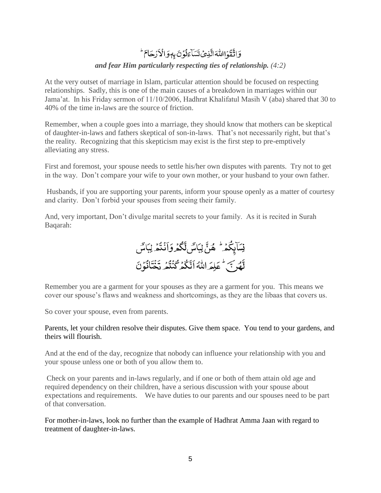# وَاتَّقَوَااللَّهَ الَّذِيَ تَسَاءَنُونَ بِهِوَالْأَرْحَامَ

# *and fear Him particularly respecting ties of relationship. (4:2)*

At the very outset of marriage in Islam, particular attention should be focused on respecting relationships. Sadly, this is one of the main causes of a breakdown in marriages within our Jama'at. In his Friday sermon of 11/10/2006, Hadhrat Khalifatul Masih V (aba) shared that 30 to 40% of the time in-laws are the source of friction.

Remember, when a couple goes into a marriage, they should know that mothers can be skeptical of daughter-in-laws and fathers skeptical of son-in-laws. That's not necessarily right, but that's the reality. Recognizing that this skepticism may exist is the first step to pre-emptively alleviating any stress.

First and foremost, your spouse needs to settle his/her own disputes with parents. Try not to get in the way. Don't compare your wife to your own mother, or your husband to your own father.

Husbands, if you are supporting your parents, inform your spouse openly as a matter of courtesy and clarity. Don't forbid your spouses from seeing their family.

And, very important, Don't divulge marital secrets to your family. As it is recited in Surah Baqarah:



Remember you are a garment for your spouses as they are a garment for you. This means we cover our spouse's flaws and weakness and shortcomings, as they are the libaas that covers us.

So cover your spouse, even from parents.

## Parents, let your children resolve their disputes. Give them space. You tend to your gardens, and theirs will flourish.

And at the end of the day, recognize that nobody can influence your relationship with you and your spouse unless one or both of you allow them to.

Check on your parents and in-laws regularly, and if one or both of them attain old age and required dependency on their children, have a serious discussion with your spouse about expectations and requirements. We have duties to our parents and our spouses need to be part of that conversation.

For mother-in-laws, look no further than the example of Hadhrat Amma Jaan with regard to treatment of daughter-in-laws.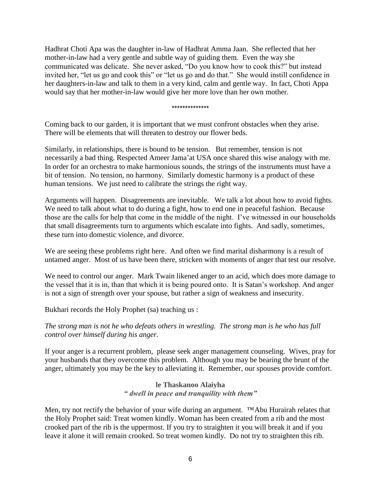Hadhrat Choti Apa was the daughter in-law of Hadhrat Amma Jaan. She reflected that her mother-in-law had a very gentle and subtle way of guiding them. Even the way she communicated was delicate. She never asked, "Do you know how to cook this?" but instead invited her, "let us go and cook this" or "let us go and do that." She would instill confidence in her daughters-in-law and talk to them in a very kind, calm and gentle way. In fact, Choti Appa would say that her mother-in-law would give her more love than her own mother.

\*\*\*\*\*\*\*\*\*\*\*\*\*\*

Coming back to our garden, it is important that we must confront obstacles when they arise. There will be elements that will threaten to destroy our flower beds.

Similarly, in relationships, there is bound to be tension. But remember, tension is not necessarily a bad thing. Respected Ameer Jama'at USA once shared this wise analogy with me. In order for an orchestra to make harmonious sounds, the strings of the instruments must have a bit of tension. No tension, no harmony. Similarly domestic harmony is a product of these human tensions. We just need to calibrate the strings the right way.

Arguments will happen. Disagreements are inevitable. We talk a lot about how to avoid fights. We need to talk about what to do during a fight, how to end one in peaceful fashion. Because those are the calls for help that come in the middle of the night. I've witnessed in our households that small disagreements turn to arguments which escalate into fights. And sadly, sometimes, these turn into domestic violence, and divorce.

We are seeing these problems right here. And often we find marital disharmony is a result of untamed anger. Most of us have been there, stricken with moments of anger that test our resolve.

We need to control our anger. Mark Twain likened anger to an acid, which does more damage to the vessel that it is in, than that which it is being poured onto. It is Satan's workshop. And anger is not a sign of strength over your spouse, but rather a sign of weakness and insecurity.

Bukhari records the Holy Prophet (sa) teaching us :

*The strong man is not he who defeats others in wrestling. The strong man is he who has full control over himself during his anger.* 

If your anger is a recurrent problem, please seek anger management counseling. Wives, pray for your husbands that they overcome this problem. Although you may be bearing the brunt of the anger, ultimately you may be the key to alleviating it. Remember, our spouses provide comfort.

> **le Thaskanoo Alaiyha** *" dwell in peace and tranquility with them"*

Men, try not rectify the behavior of your wife during an argument. ™Abu Hurairah relates that the Holy Prophet said: Treat women kindly. Woman has been created from a rib and the most crooked part of the rib is the uppermost. If you try to straighten it you will break it and if you leave it alone it will remain crooked. So treat women kindly. Do not try to straighten this rib.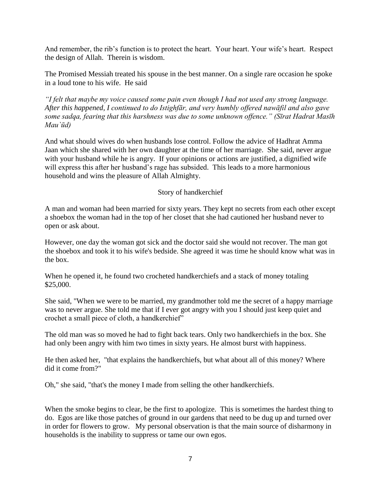And remember, the rib's function is to protect the heart. Your heart. Your wife's heart. Respect the design of Allah. Therein is wisdom.

The Promised Messiah treated his spouse in the best manner. On a single rare occasion he spoke in a loud tone to his wife. He said

*"I felt that maybe my voice caused some pain even though I had not used any strong language. After this happened, I continued to do Istighfār, and very humbly offered nawāfil and also gave some sadqa, fearing that this harshness was due to some unknown offence." (Sīrat Hadrat Masīh Mau`ūd)*

And what should wives do when husbands lose control. Follow the advice of Hadhrat Amma Jaan which she shared with her own daughter at the time of her marriage. She said, never argue with your husband while he is angry. If your opinions or actions are justified, a dignified wife will express this after her husband's rage has subsided. This leads to a more harmonious household and wins the pleasure of Allah Almighty.

Story of handkerchief

A man and woman had been married for sixty years. They kept no secrets from each other except a shoebox the woman had in the top of her closet that she had cautioned her husband never to open or ask about.

However, one day the woman got sick and the doctor said she would not recover. The man got the shoebox and took it to his wife's bedside. She agreed it was time he should know what was in the box.

When he opened it, he found two crocheted handkerchiefs and a stack of money totaling \$25,000.

She said, "When we were to be married, my grandmother told me the secret of a happy marriage was to never argue. She told me that if I ever got angry with you I should just keep quiet and crochet a small piece of cloth, a handkerchief"

The old man was so moved he had to fight back tears. Only two handkerchiefs in the box. She had only been angry with him two times in sixty years. He almost burst with happiness.

He then asked her, "that explains the handkerchiefs, but what about all of this money? Where did it come from?"

Oh," she said, "that's the money I made from selling the other handkerchiefs.

When the smoke begins to clear, be the first to apologize. This is sometimes the hardest thing to do. Egos are like those patches of ground in our gardens that need to be dug up and turned over in order for flowers to grow. My personal observation is that the main source of disharmony in households is the inability to suppress or tame our own egos.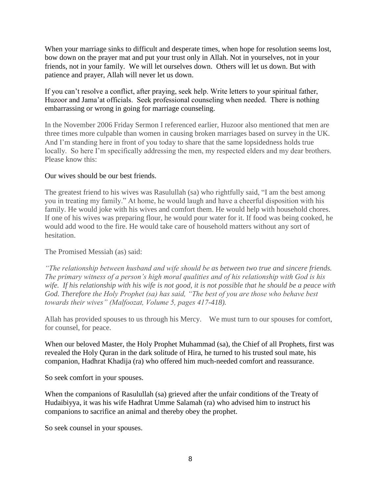When your marriage sinks to difficult and desperate times, when hope for resolution seems lost, bow down on the prayer mat and put your trust only in Allah. Not in yourselves, not in your friends, not in your family. We will let ourselves down. Others will let us down. But with patience and prayer, Allah will never let us down.

If you can't resolve a conflict, after praying, seek help. Write letters to your spiritual father, Huzoor and Jama'at officials. Seek professional counseling when needed. There is nothing embarrassing or wrong in going for marriage counseling.

In the November 2006 Friday Sermon I referenced earlier, Huzoor also mentioned that men are three times more culpable than women in causing broken marriages based on survey in the UK. And I'm standing here in front of you today to share that the same lopsidedness holds true locally. So here I'm specifically addressing the men, my respected elders and my dear brothers. Please know this:

## Our wives should be our best friends.

The greatest friend to his wives was Rasulullah (sa) who rightfully said, "I am the best among you in treating my family." At home, he would laugh and have a cheerful disposition with his family. He would joke with his wives and comfort them. He would help with household chores. If one of his wives was preparing flour, he would pour water for it. If food was being cooked, he would add wood to the fire. He would take care of household matters without any sort of hesitation.

The Promised Messiah (as) said:

*"The relationship between husband and wife should be as between two true and sincere friends. The primary witness of a person's high moral qualities and of his relationship with God is his wife. If his relationship with his wife is not good, it is not possible that he should be a peace with God. Therefore the Holy Prophet (sa) has said, "The best of you are those who behave best towards their wives" (Malfoozat, Volume 5, pages 417-418).*

Allah has provided spouses to us through his Mercy. We must turn to our spouses for comfort, for counsel, for peace.

When our beloved Master, the Holy Prophet Muhammad (sa), the Chief of all Prophets, first was revealed the Holy Quran in the dark solitude of Hira, he turned to his trusted soul mate, his companion, Hadhrat Khadija (ra) who offered him much-needed comfort and reassurance.

So seek comfort in your spouses.

When the companions of Rasulullah (sa) grieved after the unfair conditions of the Treaty of Hudaibiyya, it was his wife Hadhrat Umme Salamah (ra) who advised him to instruct his companions to sacrifice an animal and thereby obey the prophet.

So seek counsel in your spouses.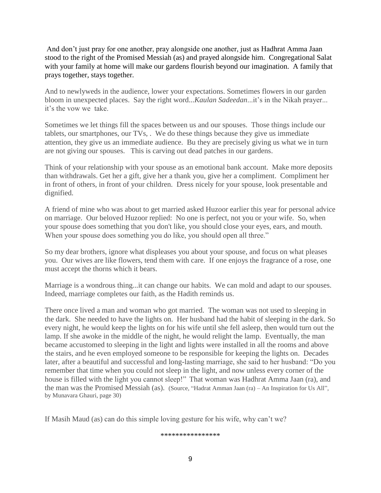And don't just pray for one another, pray alongside one another, just as Hadhrat Amma Jaan stood to the right of the Promised Messiah (as) and prayed alongside him. Congregational Salat with your family at home will make our gardens flourish beyond our imagination. A family that prays together, stays together.

And to newlyweds in the audience, lower your expectations. Sometimes flowers in our garden bloom in unexpected places. Say the right word...*Kaulan Sadeedan*...it's in the Nikah prayer... it's the vow we take.

Sometimes we let things fill the spaces between us and our spouses. Those things include our tablets, our smartphones, our TVs, . We do these things because they give us immediate attention, they give us an immediate audience. Bu they are precisely giving us what we in turn are not giving our spouses. This is carving out dead patches in our gardens.

Think of your relationship with your spouse as an emotional bank account. Make more deposits than withdrawals. Get her a gift, give her a thank you, give her a compliment. Compliment her in front of others, in front of your children. Dress nicely for your spouse, look presentable and dignified.

A friend of mine who was about to get married asked Huzoor earlier this year for personal advice on marriage. Our beloved Huzoor replied: No one is perfect, not you or your wife. So, when your spouse does something that you don't like, you should close your eyes, ears, and mouth. When your spouse does something you do like, you should open all three."

So my dear brothers, ignore what displeases you about your spouse, and focus on what pleases you. Our wives are like flowers, tend them with care. If one enjoys the fragrance of a rose, one must accept the thorns which it bears.

Marriage is a wondrous thing...it can change our habits. We can mold and adapt to our spouses. Indeed, marriage completes our faith, as the Hadith reminds us.

There once lived a man and woman who got married. The woman was not used to sleeping in the dark. She needed to have the lights on. Her husband had the habit of sleeping in the dark. So every night, he would keep the lights on for his wife until she fell asleep, then would turn out the lamp. If she awoke in the middle of the night, he would relight the lamp. Eventually, the man became accustomed to sleeping in the light and lights were installed in all the rooms and above the stairs, and he even employed someone to be responsible for keeping the lights on. Decades later, after a beautiful and successful and long-lasting marriage, she said to her husband: "Do you remember that time when you could not sleep in the light, and now unless every corner of the house is filled with the light you cannot sleep!" That woman was Hadhrat Amma Jaan (ra), and the man was the Promised Messiah (as). (Source, "Hadrat Amman Jaan (ra) – An Inspiration for Us All", by Munavara Ghauri, page 30)

If Masih Maud (as) can do this simple loving gesture for his wife, why can't we?

\*\*\*\*\*\*\*\*\*\*\*\*\*\*\*\*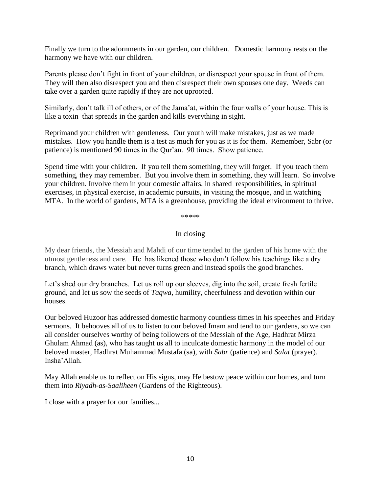Finally we turn to the adornments in our garden, our children. Domestic harmony rests on the harmony we have with our children.

Parents please don't fight in front of your children, or disrespect your spouse in front of them. They will then also disrespect you and then disrespect their own spouses one day. Weeds can take over a garden quite rapidly if they are not uprooted.

Similarly, don't talk ill of others, or of the Jama'at, within the four walls of your house. This is like a toxin that spreads in the garden and kills everything in sight.

Reprimand your children with gentleness. Our youth will make mistakes, just as we made mistakes. How you handle them is a test as much for you as it is for them. Remember, Sabr (or patience) is mentioned 90 times in the Qur'an. 90 times. Show patience.

Spend time with your children. If you tell them something, they will forget. If you teach them something, they may remember. But you involve them in something, they will learn. So involve your children. Involve them in your domestic affairs, in shared responsibilities, in spiritual exercises, in physical exercise, in academic pursuits, in visiting the mosque, and in watching MTA. In the world of gardens, MTA is a greenhouse, providing the ideal environment to thrive.

\*\*\*\*\*

### In closing

My dear friends, the Messiah and Mahdi of our time tended to the garden of his home with the utmost gentleness and care. He has likened those who don't follow his teachings like a dry branch, which draws water but never turns green and instead spoils the good branches.

Let's shed our dry branches. Let us roll up our sleeves, dig into the soil, create fresh fertile ground, and let us sow the seeds of *Taqwa*, humility, cheerfulness and devotion within our houses.

Our beloved Huzoor has addressed domestic harmony countless times in his speeches and Friday sermons. It behooves all of us to listen to our beloved Imam and tend to our gardens, so we can all consider ourselves worthy of being followers of the Messiah of the Age, Hadhrat Mirza Ghulam Ahmad (as), who has taught us all to inculcate domestic harmony in the model of our beloved master, Hadhrat Muhammad Mustafa (sa), with *Sabr* (patience) and *Salat* (prayer). Insha'Allah.

May Allah enable us to reflect on His signs, may He bestow peace within our homes, and turn them into *Riyadh-as-Saaliheen* (Gardens of the Righteous).

I close with a prayer for our families...